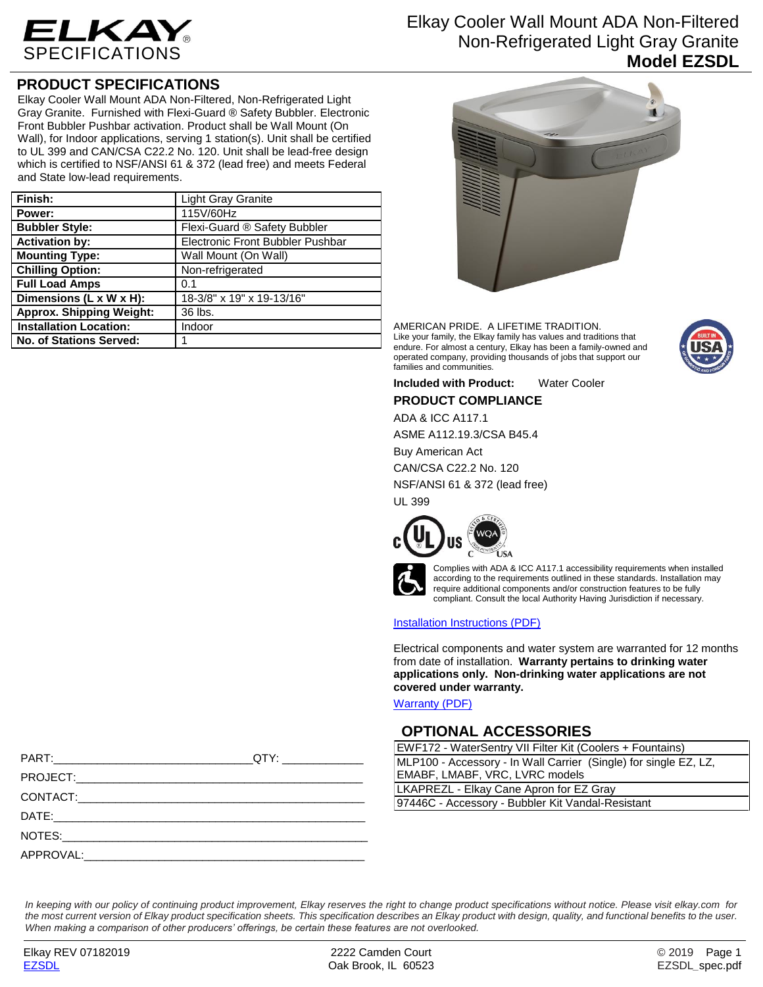

# **PRODUCT SPECIFICATIONS**

Elkay Cooler Wall Mount ADA Non-Filtered, Non-Refrigerated Light Gray Granite. Furnished with Flexi-Guard ® Safety Bubbler. Electronic Front Bubbler Pushbar activation. Product shall be Wall Mount (On Wall), for Indoor applications, serving 1 station(s). Unit shall be certified to UL 399 and CAN/CSA C22.2 No. 120. Unit shall be lead-free design which is certified to NSF/ANSI 61 & 372 (lead free) and meets Federal and State low-lead requirements.

| Finish:                         | <b>Light Gray Granite</b>        |
|---------------------------------|----------------------------------|
| Power:                          | 115V/60Hz                        |
| <b>Bubbler Style:</b>           | Flexi-Guard ® Safety Bubbler     |
| <b>Activation by:</b>           | Electronic Front Bubbler Pushbar |
| <b>Mounting Type:</b>           | Wall Mount (On Wall)             |
| <b>Chilling Option:</b>         | Non-refrigerated                 |
| <b>Full Load Amps</b>           | 0.1                              |
| Dimensions (L x W x H):         | 18-3/8" x 19" x 19-13/16"        |
| <b>Approx. Shipping Weight:</b> | 36 lbs.                          |
| <b>Installation Location:</b>   | Indoor                           |
| No. of Stations Served:         |                                  |

# Elkay Cooler Wall Mount ADA Non-Filtered Non-Refrigerated Light Gray Granite **Model EZSDL**



AMERICAN PRIDE. A LIFETIME TRADITION. Like your family, the Elkay family has values and traditions that endure. For almost a century, Elkay has been a family-owned and operated company, providing thousands of jobs that support our families and communities.



**Included with Product:** Water Cooler

**PRODUCT COMPLIANCE**

ADA & ICC A117.1

ASME A112.19.3/CSA B45.4

Buy American Act

CAN/CSA C22.2 No. 120

NSF/ANSI 61 & 372 (lead free)

UL 399





Complies with ADA & ICC A117.1 accessibility requirements when installed according to the requirements outlined in these standards. Installation may require additional components and/or construction features to be fully compliant. Consult the local Authority Having Jurisdiction if necessary.

### [Installation Instructions \(PDF\)](http://www.elkay.com/wcsstore/lkdocs/care-cleaning-install-warranty-sheets/1000002685.pdf)

Electrical components and water system are warranted for 12 months from date of installation. **Warranty pertains to drinking water applications only. Non-drinking water applications are not covered under warranty.**

[Warranty](http://www.elkay.com/wcsstore/lkdocs/care-cleaning-install-warranty-sheets/96993c.pdf) (PDF)

### **OPTIONAL ACCESSORIES**

| EWF172 - WaterSentry VII Filter Kit (Coolers + Fountains)        |  |
|------------------------------------------------------------------|--|
| MLP100 - Accessory - In Wall Carrier (Single) for single EZ, LZ, |  |
| EMABF, LMABF, VRC, LVRC models                                   |  |
| LKAPREZL - Elkay Cane Apron for EZ Gray                          |  |
| 97446C - Accessory - Bubbler Kit Vandal-Resistant                |  |
|                                                                  |  |

*In keeping with our policy of continuing product improvement, Elkay reserves the right to change product specifications without notice. Please visit elkay.com for the most current version of Elkay product specification sheets. This specification describes an Elkay product with design, quality, and functional benefits to the user. When making a comparison of other producers' offerings, be certain these features are not overlooked.*